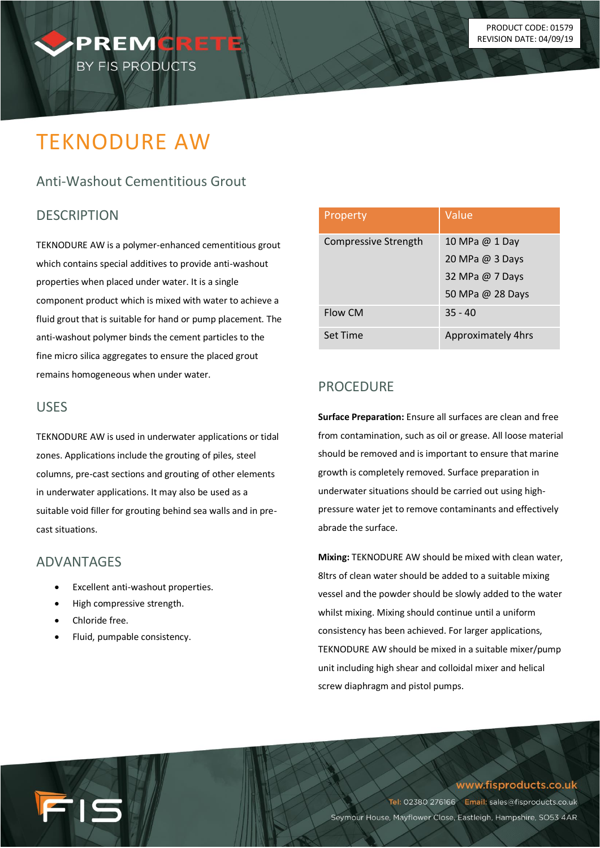

# TEKNODURE AW

# Anti-Washout Cementitious Grout

#### **DESCRIPTION**

TEKNODURE AW is a polymer-enhanced cementitious grout which contains special additives to provide anti-washout properties when placed under water. It is a single component product which is mixed with water to achieve a fluid grout that is suitable for hand or pump placement. The anti-washout polymer binds the cement particles to the fine micro silica aggregates to ensure the placed grout remains homogeneous when under water.

#### USES

TEKNODURE AW is used in underwater applications or tidal zones. Applications include the grouting of piles, steel columns, pre-cast sections and grouting of other elements in underwater applications. It may also be used as a suitable void filler for grouting behind sea walls and in precast situations.

#### ADVANTAGES

- Excellent anti-washout properties.
- High compressive strength.
- Chloride free.

15

Fluid, pumpable consistency.

| Property                    | Value                     |
|-----------------------------|---------------------------|
| <b>Compressive Strength</b> | 10 MPa @ 1 Day            |
|                             | 20 MPa @ 3 Days           |
|                             | 32 MPa @ 7 Days           |
|                             | 50 MPa @ 28 Days          |
| Flow CM                     | $35 - 40$                 |
| Set Time                    | <b>Approximately 4hrs</b> |

### PROCEDURE

**Surface Preparation:** Ensure all surfaces are clean and free from contamination, such as oil or grease. All loose material should be removed and is important to ensure that marine growth is completely removed. Surface preparation in underwater situations should be carried out using highpressure water jet to remove contaminants and effectively abrade the surface.

**Mixing:** TEKNODURE AW should be mixed with clean water, 8ltrs of clean water should be added to a suitable mixing vessel and the powder should be slowly added to the water whilst mixing. Mixing should continue until a uniform consistency has been achieved. For larger applications, TEKNODURE AW should be mixed in a suitable mixer/pump unit including high shear and colloidal mixer and helical screw diaphragm and pistol pumps.

www.fisproducts.co.uk

Tel: 02380 276166 Email: sales@fisproducts.co.uk Seymour House, Mayflower Close, Eastleigh, Hampshire, SO53 4AR